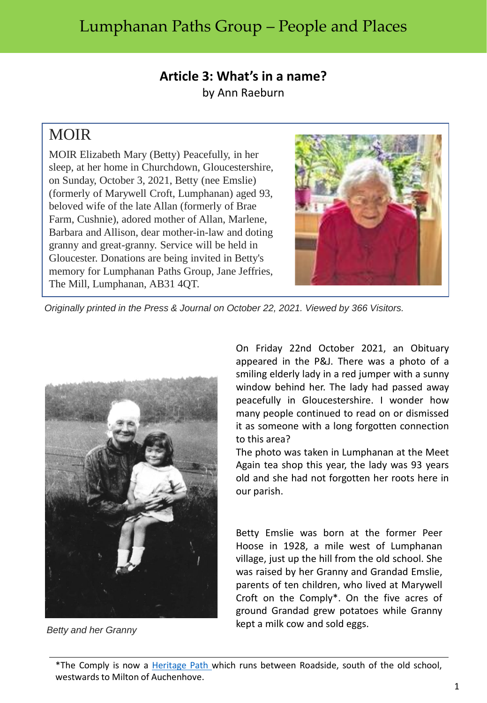## Lumphanan Paths Group – People and Places

## **Article 3: What's in a name?** by Ann Raeburn

## MOIR

MOIR Elizabeth Mary (Betty) Peacefully, in her sleep, at her home in Churchdown, Gloucestershire, on Sunday, October 3, 2021, Betty (nee Emslie) (formerly of Marywell Croft, Lumphanan) aged 93, beloved wife of the late Allan (formerly of Brae Farm, Cushnie), adored mother of Allan, Marlene, Barbara and Allison, dear mother-in-law and doting granny and great-granny. Service will be held in Gloucester. Donations are being invited in Betty's memory for Lumphanan Paths Group, Jane Jeffries, The Mill, Lumphanan, AB31 4QT.



*Originally printed in the Press & Journal on October 22, 2021. Viewed by 366 Visitors.*



*Betty and her Granny*

On Friday 22nd October 2021, an Obituary appeared in the P&J. There was a photo of a smiling elderly lady in a red jumper with a sunny window behind her. The lady had passed away peacefully in Gloucestershire. I wonder how many people continued to read on or dismissed it as someone with a long forgotten connection to this area?

The photo was taken in Lumphanan at the Meet Again tea shop this year, the lady was 93 years old and she had not forgotten her roots here in our parish.

Betty Emslie was born at the former Peer Hoose in 1928, a mile west of Lumphanan village, just up the hill from the old school. She was raised by her Granny and Grandad Emslie, parents of ten children, who lived at Marywell Croft on the Comply\*. On the five acres of ground Grandad grew potatoes while Granny kept a milk cow and sold eggs.

\*The Comply is now a [Heritage](http://www.heritagepaths.co.uk/pathdetails.php?path=124) Path which runs between Roadside, south of the old school, westwards to Milton of Auchenhove.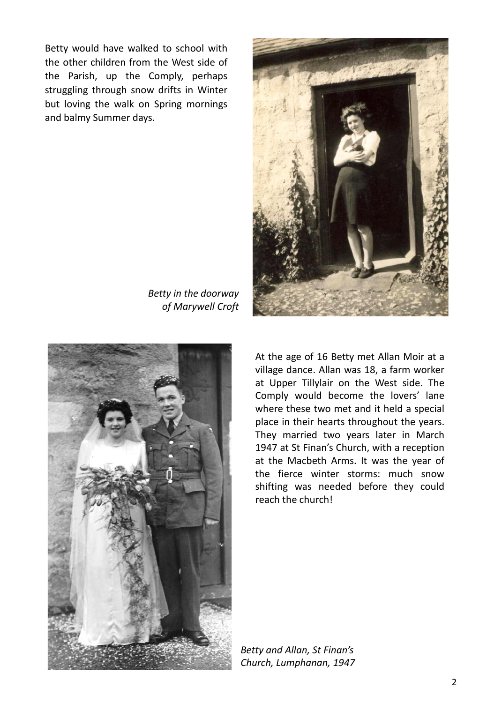Betty would have walked to school with the other children from the West side of the Parish, up the Comply, perhaps struggling through snow drifts in Winter but loving the walk on Spring mornings and balmy Summer days.



*Betty in the doorway of Marywell Croft*



At the age of 16 Betty met Allan Moir at a village dance. Allan was 18, a farm worker at Upper Tillylair on the West side. The Comply would become the lovers' lane where these two met and it held a special place in their hearts throughout the years. They married two years later in March 1947 at St Finan's Church, with a reception at the Macbeth Arms. It was the year of the fierce winter storms: much snow shifting was needed before they could reach the church!

*Betty and Allan, St Finan's Church, Lumphanan, 1947*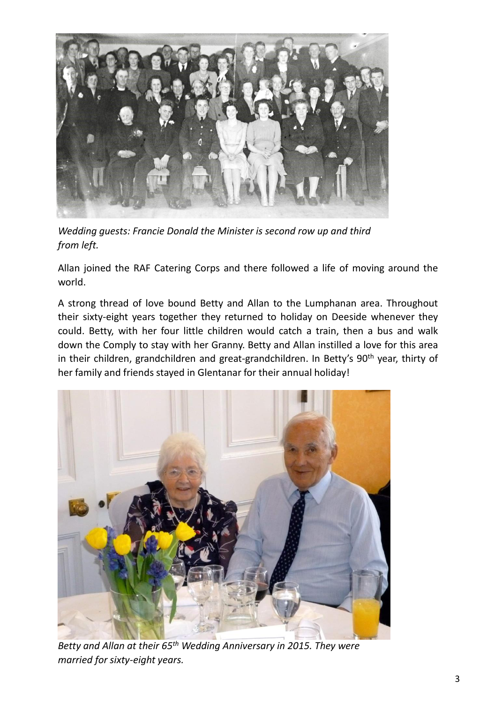

*Wedding guests: Francie Donald the Minister is second row up and third from left.*

Allan joined the RAF Catering Corps and there followed a life of moving around the world.

A strong thread of love bound Betty and Allan to the Lumphanan area. Throughout their sixty-eight years together they returned to holiday on Deeside whenever they could. Betty, with her four little children would catch a train, then a bus and walk down the Comply to stay with her Granny. Betty and Allan instilled a love for this area in their children, grandchildren and great-grandchildren. In Betty's 90<sup>th</sup> year, thirty of her family and friends stayed in Glentanar for their annual holiday!



*Betty and Allan at their 65th Wedding Anniversary in 2015. They were married for sixty-eight years.*